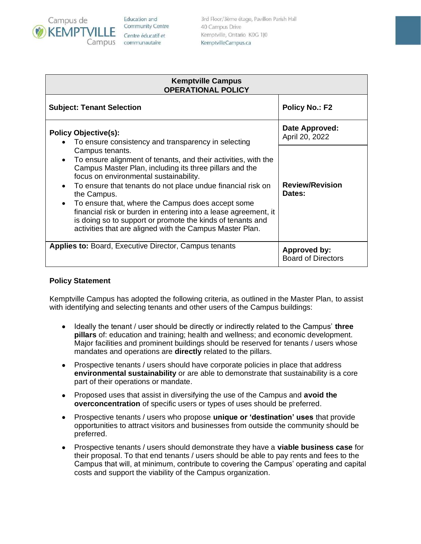

Education and **Community Centre** Centre éducatif et communautaire

3rd Floor/3ème étage, Pavillon Parish Hall 40 Campus Drive Kemptville, Ontario K0G 1J0 KemptvilleCampus.ca

| <b>Kemptville Campus</b><br><b>OPERATIONAL POLICY</b>                                                                                                                                               |                                           |
|-----------------------------------------------------------------------------------------------------------------------------------------------------------------------------------------------------|-------------------------------------------|
| <b>Subject: Tenant Selection</b>                                                                                                                                                                    | <b>Policy No.: F2</b>                     |
| <b>Policy Objective(s):</b><br>To ensure consistency and transparency in selecting                                                                                                                  | Date Approved:<br>April 20, 2022          |
| Campus tenants.<br>To ensure alignment of tenants, and their activities, with the<br>$\bullet$<br>Campus Master Plan, including its three pillars and the<br>focus on environmental sustainability. | <b>Review/Revision</b><br>Dates:          |
| To ensure that tenants do not place undue financial risk on<br>$\bullet$<br>the Campus.<br>To ensure that, where the Campus does accept some<br>$\bullet$                                           |                                           |
| financial risk or burden in entering into a lease agreement, it<br>is doing so to support or promote the kinds of tenants and<br>activities that are aligned with the Campus Master Plan.           |                                           |
| <b>Applies to: Board, Executive Director, Campus tenants</b>                                                                                                                                        | Approved by:<br><b>Board of Directors</b> |

## **Policy Statement**

Kemptville Campus has adopted the following criteria, as outlined in the Master Plan, to assist with identifying and selecting tenants and other users of the Campus buildings:

- Ideally the tenant / user should be directly or indirectly related to the Campus' **three pillars** of: education and training; health and wellness; and economic development. Major facilities and prominent buildings should be reserved for tenants / users whose mandates and operations are **directly** related to the pillars.
- Prospective tenants / users should have corporate policies in place that address **environmental sustainability** or are able to demonstrate that sustainability is a core part of their operations or mandate.
- Proposed uses that assist in diversifying the use of the Campus and **avoid the overconcentration** of specific users or types of uses should be preferred.
- Prospective tenants / users who propose **unique or 'destination' uses** that provide opportunities to attract visitors and businesses from outside the community should be preferred.
- Prospective tenants / users should demonstrate they have a **viable business case** for their proposal. To that end tenants / users should be able to pay rents and fees to the Campus that will, at minimum, contribute to covering the Campus' operating and capital costs and support the viability of the Campus organization.